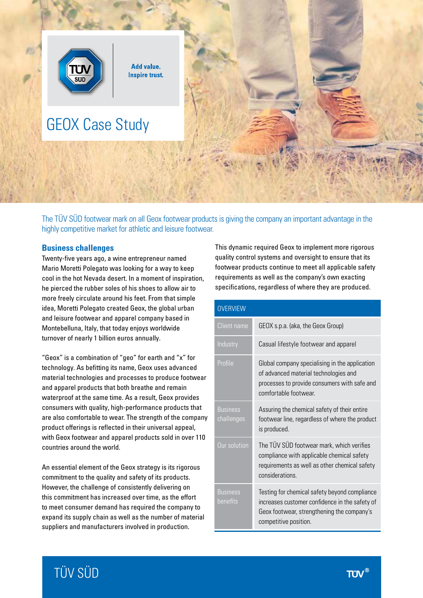

The TÜV SÜD footwear mark on all Geox footwear products is giving the company an important advantage in the highly competitive market for athletic and leisure footwear.

## **Business challenges**

Twenty-five years ago, a wine entrepreneur named Mario Moretti Polegato was looking for a way to keep cool in the hot Nevada desert. In a moment of inspiration, he pierced the rubber soles of his shoes to allow air to more freely circulate around his feet. From that simple idea, Moretti Polegato created Geox, the global urban and leisure footwear and apparel company based in Montebelluna, Italy, that today enjoys worldwide turnover of nearly 1 billion euros annually.

"Geox" is a combination of "geo" for earth and "x" for technology. As befitting its name, Geox uses advanced material technologies and processes to produce footwear and apparel products that both breathe and remain waterproof at the same time. As a result, Geox provides consumers with quality, high-performance products that are also comfortable to wear. The strength of the company product offerings is reflected in their universal appeal, with Geox footwear and apparel products sold in over 110 countries around the world.

An essential element of the Geox strategy is its rigorous commitment to the quality and safety of its products. However, the challenge of consistently delivering on this commitment has increased over time, as the effort to meet consumer demand has required the company to expand its supply chain as well as the number of material suppliers and manufacturers involved in production.

This dynamic required Geox to implement more rigorous quality control systems and oversight to ensure that its footwear products continue to meet all applicable safety requirements as well as the company's own exacting specifications, regardless of where they are produced.

| <b>OVERVIEW</b>               |                                                                                                                                                                        |
|-------------------------------|------------------------------------------------------------------------------------------------------------------------------------------------------------------------|
| Client name                   | GEOX s.p.a. (aka, the Geox Group)                                                                                                                                      |
| Industry                      | Casual lifestyle footwear and apparel                                                                                                                                  |
| Profile                       | Global company specialising in the application<br>of advanced material technologies and<br>processes to provide consumers with safe and<br>comfortable footwear.       |
| <b>Business</b><br>challenges | Assuring the chemical safety of their entire<br>footwear line, regardless of where the product<br>is produced.                                                         |
| Our solution                  | The TÜV SÜD footwear mark, which verifies<br>compliance with applicable chemical safety<br>requirements as well as other chemical safety<br>considerations.            |
| <b>Business</b><br>benefits   | Testing for chemical safety beyond compliance<br>increases customer confidence in the safety of<br>Geox footwear, strengthening the company's<br>competitive position. |